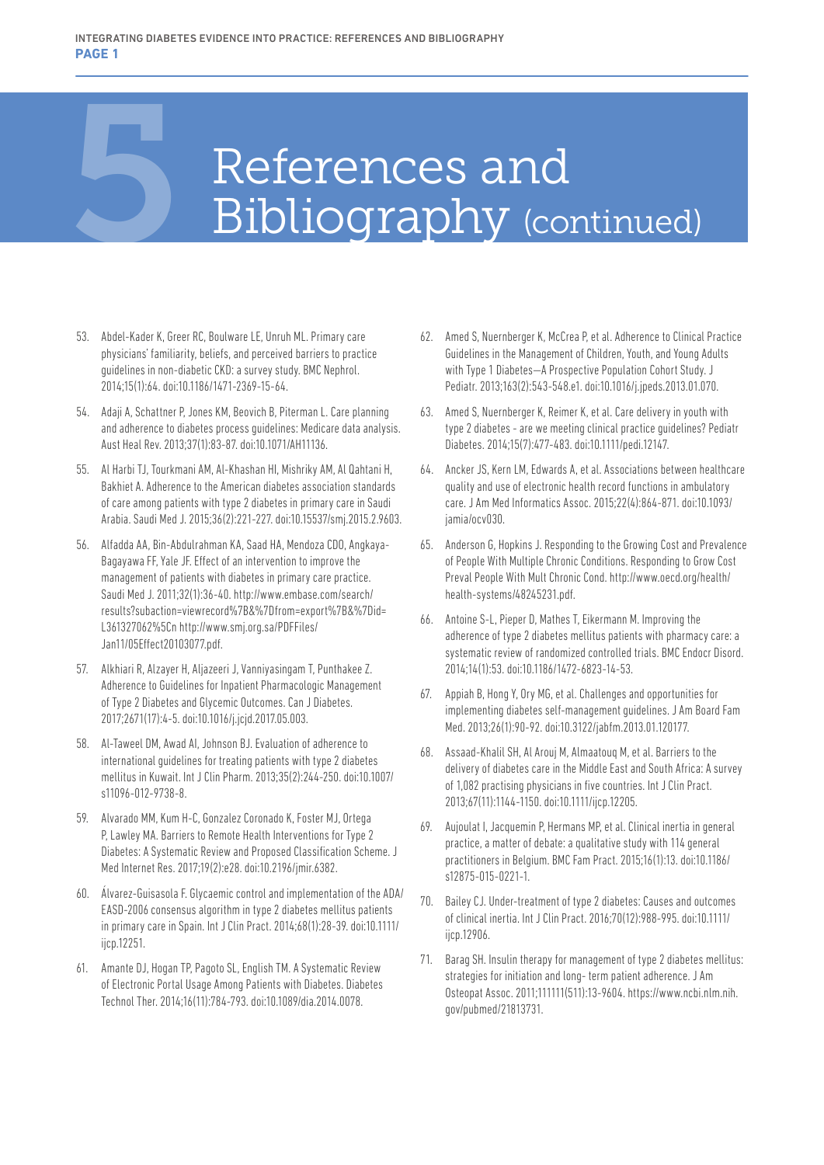## References and<br>Bibliography (cor Bibliography (continued)

- 53. Abdel-Kader K, Greer RC, Boulware LE, Unruh ML. Primary care physicians' familiarity, beliefs, and perceived barriers to practice guidelines in non-diabetic CKD: a survey study. BMC Nephrol. 2014;15(1):64. doi:10.1186/1471-2369-15-64.
- 54. Adaji A, Schattner P, Jones KM, Beovich B, Piterman L. Care planning and adherence to diabetes process guidelines: Medicare data analysis. Aust Heal Rev. 2013;37(1):83-87. doi:10.1071/AH11136.
- 55. Al Harbi TJ, Tourkmani AM, Al-Khashan HI, Mishriky AM, Al Qahtani H, Bakhiet A. Adherence to the American diabetes association standards of care among patients with type 2 diabetes in primary care in Saudi Arabia. Saudi Med J. 2015;36(2):221-227. doi:10.15537/smj.2015.2.9603.
- 56. Alfadda AA, Bin-Abdulrahman KA, Saad HA, Mendoza CDO, Angkaya-Bagayawa FF, Yale JF. Effect of an intervention to improve the management of patients with diabetes in primary care practice. Saudi Med J. 2011;32(1):36-40. http://www.embase.com/search/ results?subaction=viewrecord%7B&%7Dfrom=export%7B&%7Did= L361327062%5Cn http://www.smj.org.sa/PDFFiles/ Jan11/05Effect20103077.pdf.
- 57. Alkhiari R, Alzayer H, Aljazeeri J, Vanniyasingam T, Punthakee Z. Adherence to Guidelines for Inpatient Pharmacologic Management of Type 2 Diabetes and Glycemic Outcomes. Can J Diabetes. 2017;2671(17):4-5. doi:10.1016/j.jcjd.2017.05.003.
- 58. Al-Taweel DM, Awad AI, Johnson BJ. Evaluation of adherence to international guidelines for treating patients with type 2 diabetes mellitus in Kuwait. Int J Clin Pharm. 2013;35(2):244-250. doi:10.1007/ s11096-012-9738-8.
- 59. Alvarado MM, Kum H-C, Gonzalez Coronado K, Foster MJ, Ortega P, Lawley MA. Barriers to Remote Health Interventions for Type 2 Diabetes: A Systematic Review and Proposed Classification Scheme. J Med Internet Res. 2017;19(2):e28. doi:10.2196/jmir.6382.
- 60. Álvarez-Guisasola F. Glycaemic control and implementation of the ADA/ EASD-2006 consensus algorithm in type 2 diabetes mellitus patients in primary care in Spain. Int J Clin Pract. 2014;68(1):28-39. doi:10.1111/ ijcp.12251.
- 61. Amante DJ, Hogan TP, Pagoto SL, English TM. A Systematic Review of Electronic Portal Usage Among Patients with Diabetes. Diabetes Technol Ther. 2014;16(11):784-793. doi:10.1089/dia.2014.0078.
- 62. Amed S, Nuernberger K, McCrea P, et al. Adherence to Clinical Practice Guidelines in the Management of Children, Youth, and Young Adults with Type 1 Diabetes—A Prospective Population Cohort Study. J Pediatr. 2013;163(2):543-548.e1. doi:10.1016/j.jpeds.2013.01.070.
- 63. Amed S, Nuernberger K, Reimer K, et al. Care delivery in youth with type 2 diabetes - are we meeting clinical practice guidelines? Pediatr Diabetes. 2014;15(7):477-483. doi:10.1111/pedi.12147.
- 64. Ancker JS, Kern LM, Edwards A, et al. Associations between healthcare quality and use of electronic health record functions in ambulatory care. J Am Med Informatics Assoc. 2015;22(4):864-871. doi:10.1093/ jamia/ocv030.
- 65. Anderson G, Hopkins J. Responding to the Growing Cost and Prevalence of People With Multiple Chronic Conditions. Responding to Grow Cost Preval People With Mult Chronic Cond. http://www.oecd.org/health/ health-systems/48245231.pdf.
- 66. Antoine S-L, Pieper D, Mathes T, Eikermann M. Improving the adherence of type 2 diabetes mellitus patients with pharmacy care: a systematic review of randomized controlled trials. BMC Endocr Disord. 2014;14(1):53. doi:10.1186/1472-6823-14-53.
- 67. Appiah B, Hong Y, Ory MG, et al. Challenges and opportunities for implementing diabetes self-management guidelines. J Am Board Fam Med. 2013;26(1):90-92. doi:10.3122/jabfm.2013.01.120177.
- 68. Assaad-Khalil SH, Al Arouj M, Almaatouq M, et al. Barriers to the delivery of diabetes care in the Middle East and South Africa: A survey of 1,082 practising physicians in five countries. Int J Clin Pract. 2013;67(11):1144-1150. doi:10.1111/ijcp.12205.
- 69. Aujoulat I, Jacquemin P, Hermans MP, et al. Clinical inertia in general practice, a matter of debate: a qualitative study with 114 general practitioners in Belgium. BMC Fam Pract. 2015;16(1):13. doi:10.1186/ s12875-015-0221-1.
- 70. Bailey CJ. Under-treatment of type 2 diabetes: Causes and outcomes of clinical inertia. Int J Clin Pract. 2016;70(12):988-995. doi:10.1111/ ijcp.12906.
- 71. Barag SH. Insulin therapy for management of type 2 diabetes mellitus: strategies for initiation and long- term patient adherence. J Am Osteopat Assoc. 2011;111111(511):13-9604. https://www.ncbi.nlm.nih. gov/pubmed/21813731.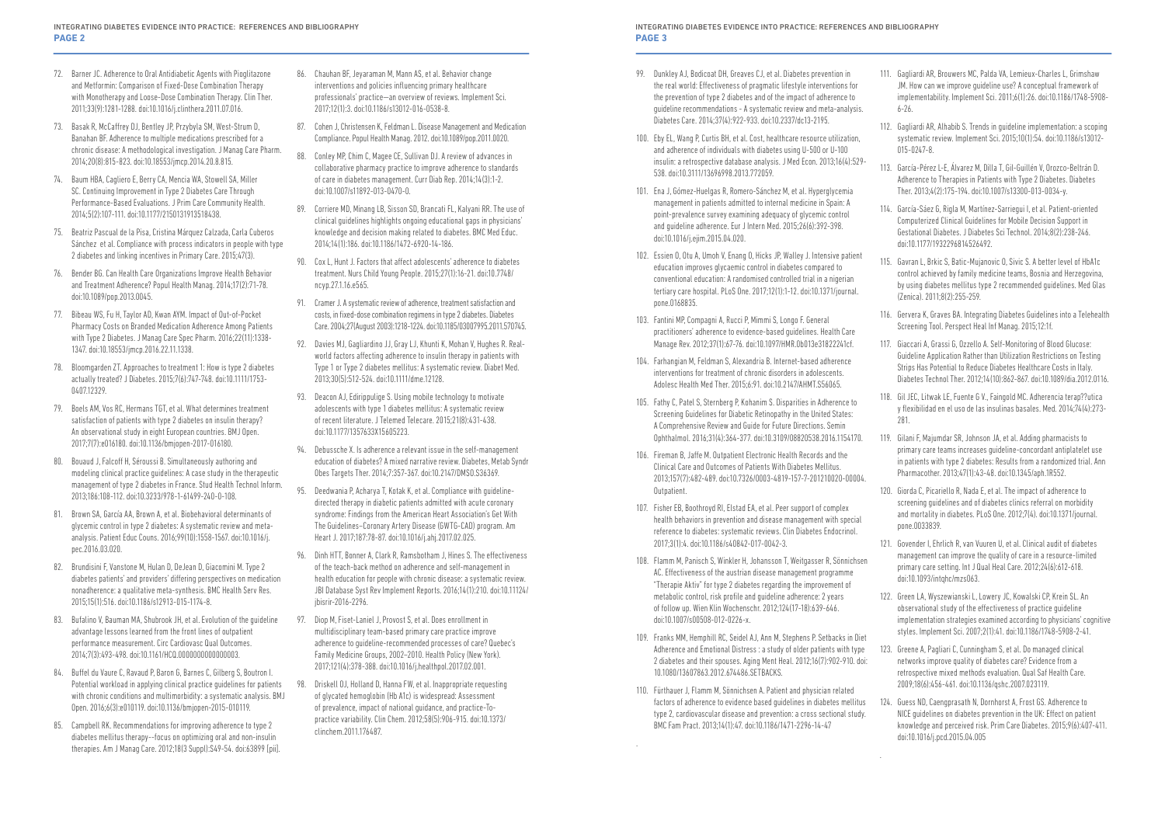- 99. Dunkley AJ, Bodicoat DH, Greaves CJ, et al. Diabetes prevention in the real world: Effectiveness of pragmatic lifestyle interventions for the prevention of type 2 diabetes and of the impact of adherence to guideline recommendations - A systematic review and meta-analysis. Diabetes Care. 2014;37(4):922-933. doi:10.2337/dc13-2195.
- 100. Eby EL, Wang P, Curtis BH, et al. Cost, healthcare resource utilization, and adherence of individuals with diabetes using U-500 or U-100 insulin: a retrospective database analysis. J Med Econ. 2013;16(4):529- 538. doi:10.3111/13696998.2013.772059.
- 101. Ena J, Gómez-Huelgas R, Romero-Sánchez M, et al. Hyperglycemia management in patients admitted to internal medicine in Spain: A point-prevalence survey examining adequacy of glycemic control and guideline adherence. Eur J Intern Med. 2015;26(6):392-398. doi:10.1016/j.ejim.2015.04.020.
- 102. Essien O, Otu A, Umoh V, Enang O, Hicks JP, Walley J. Intensive patient education improves glycaemic control in diabetes compared to conventional education: A randomised controlled trial in a nigerian tertiary care hospital. PLoS One. 2017;12(1):1-12. doi:10.1371/journal. pone.0168835.
- 103. Fantini MP, Compagni A, Rucci P, Mimmi S, Longo F. General practitioners' adherence to evidence-based guidelines. Health Care Manage Rev. 2012;37(1):67-76. doi:10.1097/HMR.0b013e31822241cf.
- 104. Farhangian M, Feldman S, Alexandria B. Internet-based adherence interventions for treatment of chronic disorders in adolescents. Adolesc Health Med Ther. 2015;6:91. doi:10.2147/AHMT.S56065.
- 105. Fathy C, Patel S, Sternberg P, Kohanim S. Disparities in Adherence to Screening Guidelines for Diabetic Retinopathy in the United States: A Comprehensive Review and Guide for Future Directions. Semin Ophthalmol. 2016;31(4):364-377. doi:10.3109/08820538.2016.1154170.
- 106. Fireman B, Jaffe M. Outpatient Electronic Health Records and the Clinical Care and Outcomes of Patients With Diabetes Mellitus. 2013;157(7):482-489. doi:10.7326/0003-4819-157-7-201210020-00004. Outpatient.
- 107. Fisher EB, Boothroyd RI, Elstad EA, et al. Peer support of complex health behaviors in prevention and disease management with special reference to diabetes: systematic reviews. Clin Diabetes Endocrinol. 2017;3(1):4. doi:10.1186/s40842-017-0042-3.
- 108. Flamm M, Panisch S, Winkler H, Johansson T, Weitgasser R, Sönnichsen AC. Effectiveness of the austrian disease management programme "Therapie Aktiv" for type 2 diabetes regarding the improvement of metabolic control, risk profile and guideline adherence: 2 years of follow up. Wien Klin Wochenschr. 2012;124(17-18):639-646. doi:10.1007/s00508-012-0226-x.
- 109. Franks MM, Hemphill RC, Seidel AJ, Ann M, Stephens P. Setbacks in Diet Adherence and Emotional Distress : a study of older patients with type 2 diabetes and their spouses. Aging Ment Heal. 2012;16(7):902-910. doi: 10.1080/13607863.2012.674486.SETBACKS.
- 110. Fürthauer J, Flamm M, Sönnichsen A. Patient and physician related factors of adherence to evidence based guidelines in diabetes mellitus type 2, cardiovascular disease and prevention: a cross sectional study. BMC Fam Pract. 2013;14(1):47. doi:10.1186/1471-2296-14-47

.

- 111. Gagliardi AR, Brouwers MC, Palda VA, Lemieux-Charles L, Grimshaw JM. How can we improve guideline use? A conceptual framework of implementability. Implement Sci. 2011;6(1):26. doi:10.1186/1748-5908- 6-26.
- 112. Gagliardi AR, Alhabib S. Trends in guideline implementation: a scoping systematic review. Implement Sci. 2015;10(1):54. doi:10.1186/s13012- 015-0247-8.
- 113. García-Pérez L-E, Álvarez M, Dilla T, Gil-Guillén V, Orozco-Beltrán D. Adherence to Therapies in Patients with Type 2 Diabetes. Diabetes Ther. 2013;4(2):175-194. doi:10.1007/s13300-013-0034-y.
- 114. García-Sáez G, Rigla M, Martínez-Sarriegui I, et al. Patient-oriented Computerized Clinical Guidelines for Mobile Decision Support in Gestational Diabetes. J Diabetes Sci Technol. 2014;8(2):238-246. doi:10.1177/1932296814526492.
- 115. Gavran L, Brkic S, Batic-Mujanovic O, Sivic S. A better level of HbA1c control achieved by family medicine teams, Bosnia and Herzegovina, by using diabetes mellitus type 2 recommended guidelines. Med Glas (Zenica). 2011;8(2):255-259.
- 116. Gervera K, Graves BA. Integrating Diabetes Guidelines into a Telehealth Screening Tool. Perspect Heal Inf Manag. 2015;12:1f.
- 117. Giaccari A, Grassi G, Ozzello A. Self-Monitoring of Blood Glucose: Guideline Application Rather than Utilization Restrictions on Testing Strips Has Potential to Reduce Diabetes Healthcare Costs in Italy. Diabetes Technol Ther. 2012;14(10):862-867. doi:10.1089/dia.2012.0116.
- 118. Gil JEC, Litwak LE, Fuente G V., Faingold MC. Adherencia terap??utica y flexibilidad en el uso de las insulinas basales. Med. 2014;74(4):273- 281.
- 119. Gilani F, Majumdar SR, Johnson JA, et al. Adding pharmacists to primary care teams increases guideline-concordant antiplatelet use in patients with type 2 diabetes: Results from a randomized trial. Ann Pharmacother. 2013;47(1):43-48. doi:10.1345/aph.1R552.
- 120. Giorda C, Picariello R, Nada E, et al. The impact of adherence to screening guidelines and of diabetes clinics referral on morbidity and mortality in diabetes. PLoS One. 2012;7(4). doi:10.1371/journal. pone.0033839.
- 121. Govender I, Ehrlich R, van Vuuren U, et al. Clinical audit of diabetes management can improve the quality of care in a resource-limited primary care setting. Int J Qual Heal Care. 2012;24(6):612-618. doi:10.1093/intqhc/mzs063.
- 122. Green LA, Wyszewianski L, Lowery JC, Kowalski CP, Krein SL. An observational study of the effectiveness of practice guideline implementation strategies examined according to physicians' cognitive styles. Implement Sci. 2007;2(1):41. doi:10.1186/1748-5908-2-41.
- 123. Greene A, Pagliari C, Cunningham S, et al. Do managed clinical networks improve quality of diabetes care? Evidence from a retrospective mixed methods evaluation. Qual Saf Health Care. 2009;18(6):456-461. doi:10.1136/qshc.2007.023119.
- 124. Guess ND, Caengprasath N, Dornhorst A, Frost GS. Adherence to NICE guidelines on diabetes prevention in the UK: Effect on patient knowledge and perceived risk. Prim Care Diabetes. 2015;9(6):407-411. doi:10.1016/j.pcd.2015.04.005

.

- 72. Barner JC. Adherence to Oral Antidiabetic Agents with Pioglitazone and Metformin: Comparison of Fixed-Dose Combination Therapy with Monotherapy and Loose-Dose Combination Therapy. Clin Ther. 2011;33(9):1281-1288. doi:10.1016/j.clinthera.2011.07.016.
- 73. Basak R, McCaffrey DJ, Bentley JP, Przybyla SM, West-Strum D, Banahan BF. Adherence to multiple medications prescribed for a chronic disease: A methodological investigation. J Manag Care Pharm. 2014;20(8):815-823. doi:10.18553/jmcp.2014.20.8.815.
- 74. Baum HBA, Cagliero E, Berry CA, Mencia WA, Stowell SA, Miller SC. Continuing Improvement in Type 2 Diabetes Care Through Performance-Based Evaluations. J Prim Care Community Health. 2014;5(2):107-111. doi:10.1177/2150131913518438.
- 75. Beatriz Pascual de la Pisa, Cristina Márquez Calzada, Carla Cuberos Sánchez et al. Compliance with process indicators in people with type 2 diabetes and linking incentives in Primary Care. 2015;47(3).
- 76. Bender BG. Can Health Care Organizations Improve Health Behavior and Treatment Adherence? Popul Health Manag. 2014;17(2):71-78. doi:10.1089/pop.2013.0045.
- 77. Bibeau WS, Fu H, Taylor AD, Kwan AYM. Impact of Out-of-Pocket Pharmacy Costs on Branded Medication Adherence Among Patients with Type 2 Diabetes. J Manag Care Spec Pharm. 2016;22(11):1338- 1347. doi:10.18553/jmcp.2016.22.11.1338.
- 78. Bloomgarden ZT. Approaches to treatment 1: How is type 2 diabetes actually treated? J Diabetes. 2015;7(6):747-748. doi:10.1111/1753- 0407.12329.
- 79. Boels AM, Vos RC, Hermans TGT, et al. What determines treatment satisfaction of patients with type 2 diabetes on insulin therapy? An observational study in eight European countries. BMJ Open. 2017;7(7):e016180. doi:10.1136/bmjopen-2017-016180.
- 80. Bouaud J, Falcoff H, Séroussi B. Simultaneously authoring and modeling clinical practice guidelines: A case study in the therapeutic management of type 2 diabetes in France. Stud Health Technol Inform. 2013;186:108-112. doi:10.3233/978-1-61499-240-0-108.
- 81. Brown SA, García AA, Brown A, et al. Biobehavioral determinants of glycemic control in type 2 diabetes: A systematic review and metaanalysis. Patient Educ Couns. 2016;99(10):1558-1567. doi:10.1016/j. pec.2016.03.020.
- 82. Brundisini F, Vanstone M, Hulan D, DeJean D, Giacomini M. Type 2 diabetes patients' and providers' differing perspectives on medication nonadherence: a qualitative meta-synthesis. BMC Health Serv Res. 2015;15(1):516. doi:10.1186/s12913-015-1174-8.
- 83. Bufalino V, Bauman MA, Shubrook JH, et al. Evolution of the guideline advantage lessons learned from the front lines of outpatient performance measurement. Circ Cardiovasc Qual Outcomes. 2014;7(3):493-498. doi:10.1161/HCQ.0000000000000003.
- 84. Buffel du Vaure C, Ravaud P, Baron G, Barnes C, Gilberg S, Boutron I. Potential workload in applying clinical practice guidelines for patients with chronic conditions and multimorbidity: a systematic analysis. BMJ Open. 2016;6(3):e010119. doi:10.1136/bmjopen-2015-010119.
- 85. Campbell RK. Recommendations for improving adherence to type 2 diabetes mellitus therapy--focus on optimizing oral and non-insulin therapies. Am J Manag Care. 2012;18(3 Suppl):S49-54. doi:63899 [pii].
- 86. Chauhan BF, Jeyaraman M, Mann AS, et al. Behavior change interventions and policies influencing primary healthcare professionals' practice—an overview of reviews. Implement Sci. 2017;12(1):3. doi:10.1186/s13012-016-0538-8.
- 87. Cohen J, Christensen K, Feldman L. Disease Management and Medication Compliance. Popul Health Manag. 2012. doi:10.1089/pop.2011.0020.
- 88. Conley MP, Chim C, Magee CE, Sullivan DJ. A review of advances in collaborative pharmacy practice to improve adherence to standards of care in diabetes management. Curr Diab Rep. 2014;14(3):1-2. doi:10.1007/s11892-013-0470-0.
- 89. Corriere MD, Minang LB, Sisson SD, Brancati FL, Kalyani RR. The use of clinical guidelines highlights ongoing educational gaps in physicians' knowledge and decision making related to diabetes. BMC Med Educ. 2014;14(1):186. doi:10.1186/1472-6920-14-186.
- 90. Cox L, Hunt J. Factors that affect adolescents' adherence to diabetes treatment. Nurs Child Young People. 2015;27(1):16-21. doi:10.7748/ ncyp.27.1.16.e565.
- 91. Cramer J. A systematic review of adherence, treatment satisfaction and costs, in fixed-dose combination regimens in type 2 diabetes. Diabetes Care. 2004;27(August 2003):1218-1224. doi:10.1185/03007995.2011.570745.
- 92. Davies MJ, Gagliardino JJ, Gray LJ, Khunti K, Mohan V, Hughes R. Realworld factors affecting adherence to insulin therapy in patients with Type 1 or Type 2 diabetes mellitus: A systematic review. Diabet Med. 2013;30(5):512-524. doi:10.1111/dme.12128.
- 93. Deacon AJ, Edirippulige S. Using mobile technology to motivate adolescents with type 1 diabetes mellitus: A systematic review of recent literature. J Telemed Telecare. 2015;21(8):431-438. doi:10.1177/1357633X15605223.
- 94. Debussche X. Is adherence a relevant issue in the self-management education of diabetes? A mixed narrative review. Diabetes, Metab Syndr Obes Targets Ther. 2014;7:357-367. doi:10.2147/DMSO.S36369.
- 95. Deedwania P, Acharya T, Kotak K, et al. Compliance with guidelinedirected therapy in diabetic patients admitted with acute coronary syndrome: Findings from the American Heart Association's Get With The Guidelines–Coronary Artery Disease (GWTG-CAD) program. Am Heart J. 2017;187:78-87. doi:10.1016/j.ahj.2017.02.025.
- 96. Dinh HTT, Bonner A, Clark R, Ramsbotham J, Hines S. The effectiveness of the teach-back method on adherence and self-management in health education for people with chronic disease: a systematic review. JBI Database Syst Rev Implement Reports. 2016;14(1):210. doi:10.11124/ jbisrir-2016-2296.
- 97. Diop M, Fiset-Laniel J, Provost S, et al. Does enrollment in multidisciplinary team-based primary care practice improve adherence to guideline-recommended processes of care? Quebec's Family Medicine Groups, 2002–2010. Health Policy (New York). 2017;121(4):378-388. doi:10.1016/j.healthpol.2017.02.001.
- 98. Driskell OJ, Holland D, Hanna FW, et al. Inappropriate requesting of glycated hemoglobin (Hb A1c) is widespread: Assessment of prevalence, impact of national guidance, and practice-Topractice variability. Clin Chem. 2012;58(5):906-915. doi:10.1373/ clinchem.2011.176487.

## INTEGRATING DIABETES EVIDENCE INTO PRACTICE: REFERENCES AND BIBLIOGRAPHY **PAGE 3**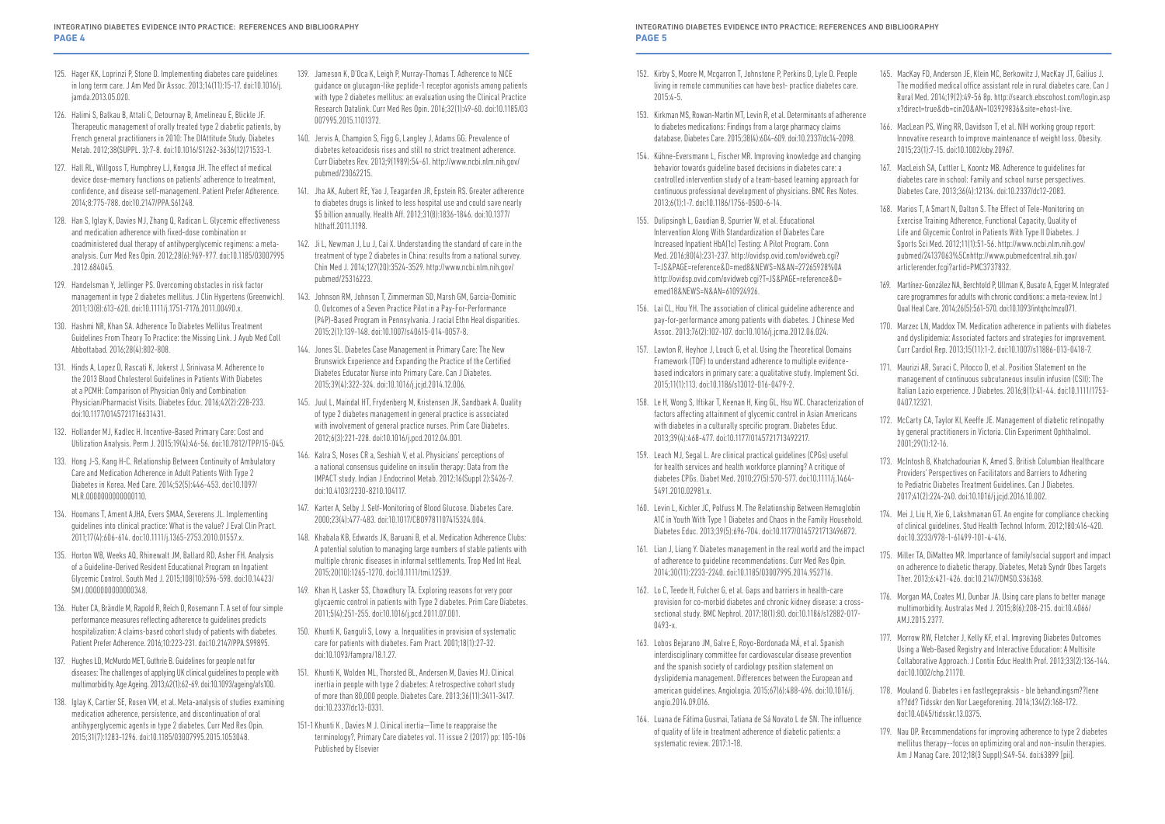- 152. Kirby S, Moore M, Mcgarron T, Johnstone P, Perkins D, Lyle D. People living in remote communities can have best- practice diabetes care.  $2015:4-5$
- 153. Kirkman MS, Rowan-Martin MT, Levin R, et al. Determinants of adherence to diabetes medications: Findings from a large pharmacy claims database. Diabetes Care. 2015;38(4):604-609. doi:10.2337/dc14-2098.
- 154. Kühne-Eversmann L, Fischer MR. Improving knowledge and changing behavior towards guideline based decisions in diabetes care: a controlled intervention study of a team-based learning approach for continuous professional development of physicians. BMC Res Notes. 2013;6(1):1-7. doi:10.1186/1756-0500-6-14.
- 155. Dulipsingh L, Gaudian B, Spurrier W, et al. Educational Intervention Along With Standardization of Diabetes Care Increased Inpatient HbA(1c) Testing: A Pilot Program. Conn Med. 2016;80(4):231-237. http://ovidsp.ovid.com/ovidweb.cgi? T=JS&PAGE=reference&D=med8&NEWS=N&AN=27265928%0A http://ovidsp.ovid.com/ovidweb cgi?T=JS&PAGE=reference&D= emed18&NEWS=N&AN=610924926.
- 156. Lai CL, Hou YH. The association of clinical guideline adherence and pay-for-performance among patients with diabetes. J Chinese Med Assoc. 2013;76(2):102-107. doi:10.1016/j.jcma.2012.06.024.
- 157. Lawton R, Heyhoe J, Louch G, et al. Using the Theoretical Domains Framework (TDF) to understand adherence to multiple evidencebased indicators in primary care: a qualitative study. Implement Sci. 2015;11(1):113. doi:10.1186/s13012-016-0479-2.
- 158. Le H, Wong S, Iftikar T, Keenan H, King GL, Hsu WC. Characterization of factors affecting attainment of glycemic control in Asian Americans with diabetes in a culturally specific program. Diabetes Educ. 2013;39(4):468-477. doi:10.1177/0145721713492217.
- 159. Leach MJ, Segal L. Are clinical practical guidelines (CPGs) useful for health services and health workforce planning? A critique of diabetes CPGs. Diabet Med. 2010;27(5):570-577. doi:10.1111/j.1464- 5491.2010.02981.x.
- 160. Levin L, Kichler JC, Polfuss M. The Relationship Between Hemoglobin A1C in Youth With Type 1 Diabetes and Chaos in the Family Household. Diabetes Educ. 2013;39(5):696-704. doi:10.1177/0145721713496872.
- 161. Lian J, Liang Y. Diabetes management in the real world and the impact of adherence to guideline recommendations. Curr Med Res Opin. 2014;30(11):2233-2240. doi:10.1185/03007995.2014.952716.
- 162. Lo C, Teede H, Fulcher G, et al. Gaps and barriers in health-care provision for co-morbid diabetes and chronic kidney disease: a crosssectional study. BMC Nephrol. 2017;18(1):80. doi:10.1186/s12882-017- 0493-x.
- 163. Lobos Bejarano JM, Galve E, Royo-Bordonada MÁ, et al. Spanish interdisciplinary committee for cardiovascular disease prevention and the spanish society of cardiology position statement on dyslipidemia management. Differences between the European and american guidelines. Angiologia. 2015;67(6):488-496. doi:10.1016/j. angio.2014.09.016.
- 164. Luana de Fátima Gusmai, Tatiana de Sá Novato L de SN. The influence of quality of life in treatment adherence of diabetic patients: a systematic review. 2017:1-18.
- 165. MacKay FD, Anderson JE, Klein MC, Berkowitz J, MacKay JT, Gailius J. The modified medical office assistant role in rural diabetes care. Can J Rural Med. 2014;19(2):49-56 8p. http://search.ebscohost.com/login.asp x?direct=true&db=cin20&AN=103929836&site=ehost-live.
- 166. MacLean PS, Wing RR, Davidson T, et al. NIH working group report: Innovative research to improve maintenance of weight loss. Obesity. 2015;23(1):7-15. doi:10.1002/oby.20967.
- 167. MacLeish SA, Cuttler L, Koontz MB. Adherence to guidelines for diabetes care in school: Family and school nurse perspectives. Diabetes Care. 2013;36(4):12134. doi:10.2337/dc12-2083.
- 168. Marios T, A Smart N, Dalton S. The Effect of Tele-Monitoring on Exercise Training Adherence, Functional Capacity, Quality of Life and Glycemic Control in Patients With Type II Diabetes. J Sports Sci Med. 2012;11(1):51-56. http://www.ncbi.nlm.nih.gov/ pubmed/24137063%5Cnhttp://www.pubmedcentral.nih.gov/ articlerender.fcgi?artid=PMC3737832.
- 169. Martínez-González NA, Berchtold P, Ullman K, Busato A, Egger M. Integrated care programmes for adults with chronic conditions: a meta-review. Int J Qual Heal Care. 2014;26(5):561-570. doi:10.1093/intqhc/mzu071.
- 170. Marzec LN, Maddox TM. Medication adherence in patients with diabetes and dyslipidemia: Associated factors and strategies for improvement. Curr Cardiol Rep. 2013;15(11):1-2. doi:10.1007/s11886-013-0418-7.
- 171. Maurizi AR, Suraci C, Pitocco D, et al. Position Statement on the management of continuous subcutaneous insulin infusion (CSII): The Italian Lazio experience. J Diabetes. 2016;8(1):41-44. doi:10.1111/1753- 0407.12321.
- 172. McCarty CA, Taylor KI, Keeffe JE. Management of diabetic retinopathy by general practitioners in Victoria. Clin Experiment Ophthalmol. 2001;29(1):12-16.
- 173. McIntosh B, Khatchadourian K, Amed S. British Columbian Healthcare Providers' Perspectives on Facilitators and Barriers to Adhering to Pediatric Diabetes Treatment Guidelines. Can J Diabetes. 2017;41(2):224-240. doi:10.1016/j.jcjd.2016.10.002.
- 174. Mei J, Liu H, Xie G, Lakshmanan GT. An engine for compliance checking of clinical guidelines. Stud Health Technol Inform. 2012;180:416-420. doi:10.3233/978-1-61499-101-4-416.
- 175. Miller TA, DiMatteo MR. Importance of family/social support and impact on adherence to diabetic therapy. Diabetes, Metab Syndr Obes Targets Ther. 2013;6:421-426. doi:10.2147/DMSO.S36368.
- 176. Morgan MA, Coates MJ, Dunbar JA. Using care plans to better manage multimorbidity. Australas Med J. 2015;8(6):208-215. doi:10.4066/ AMJ.2015.2377.
- 177. Morrow RW, Fletcher J, Kelly KF, et al. Improving Diabetes Outcomes Using a Web-Based Registry and Interactive Education: A Multisite Collaborative Approach. J Contin Educ Health Prof. 2013;33(2):136-144. doi:10.1002/chp.21170.
- 178. Mouland G. Diabetes i en fastlegepraksis ble behandlingsm??lene n??dd? Tidsskr den Nor Laegeforening. 2014;134(2):168-172. doi:10.4045/tidsskr.13.0375.
- 179. Nau DP. Recommendations for improving adherence to type 2 diabetes mellitus therapy--focus on optimizing oral and non-insulin therapies. Am J Manag Care. 2012;18(3 Suppl):S49-54. doi:63899 [pii].
- 125. Hager KK, Loprinzi P, Stone D. Implementing diabetes care guidelines in long term care. J Am Med Dir Assoc. 2013;14(11):15-17. doi:10.1016/j. jamda.2013.05.020.
- 126. Halimi S, Balkau B, Attali C, Detournay B, Amelineau E, Blickle JF. Therapeutic management of orally treated type 2 diabetic patients, by French general practitioners in 2010: The DIAttitude Study. Diabetes Metab. 2012;38(SUPPL. 3):7-8. doi:10.1016/S1262-3636(12)71533-1.
- 127. Hall RL, Willgoss T, Humphrey LJ, Kongsø JH. The effect of medical device dose-memory functions on patients' adherence to treatment, confidence, and disease self-management. Patient Prefer Adherence. 2014;8:775-788. doi:10.2147/PPA.S61248.
- 128. Han S, Iglay K, Davies MJ, Zhang Q, Radican L. Glycemic effectiveness and medication adherence with fixed-dose combination or coadministered dual therapy of antihyperglycemic regimens: a metaanalysis. Curr Med Res Opin. 2012;28(6):969-977. doi:10.1185/03007995 .2012.684045.
- 129. Handelsman Y, Jellinger PS. Overcoming obstacles in risk factor management in type 2 diabetes mellitus. J Clin Hypertens (Greenwich). 2011;13(8):613-620. doi:10.1111/j.1751-7176.2011.00490.x.
- 130. Hashmi NR, Khan SA. Adherence To Diabetes Mellitus Treatment Guidelines From Theory To Practice: the Missing Link. J Ayub Med Coll Abbottabad. 2016;28(4):802-808.
- 131. Hinds A, Lopez D, Rascati K, Jokerst J, Srinivasa M. Adherence to the 2013 Blood Cholesterol Guidelines in Patients With Diabetes at a PCMH: Comparison of Physician Only and Combination Physician/Pharmacist Visits. Diabetes Educ. 2016;42(2):228-233. doi:10.1177/0145721716631431.
- 132. Hollander MJ, Kadlec H. Incentive-Based Primary Care: Cost and Utilization Analysis. Perm J. 2015;19(4):46-56. doi:10.7812/TPP/15-045.
- 133. Hong J-S, Kang H-C. Relationship Between Continuity of Ambulatory Care and Medication Adherence in Adult Patients With Type 2 Diabetes in Korea. Med Care. 2014;52(5):446-453. doi:10.1097/ MLR.00000000000000110.
- 134. Hoomans T, Ament AJHA, Evers SMAA, Severens JL. Implementing guidelines into clinical practice: What is the value? J Eval Clin Pract. 2011;17(4):606-614. doi:10.1111/j.1365-2753.2010.01557.x.
- 135. Horton WB, Weeks AQ, Rhinewalt JM, Ballard RD, Asher FH. Analysis of a Guideline-Derived Resident Educational Program on Inpatient Glycemic Control. South Med J. 2015;108(10):596-598. doi:10.14423/ SMJ.0000000000000348.
- 136. Huber CA, Brändle M, Rapold R, Reich O, Rosemann T. A set of four simple performance measures reflecting adherence to guidelines predicts hospitalization: A claims-based cohort study of patients with diabetes. Patient Prefer Adherence. 2016;10:223-231. doi:10.2147/PPA.S99895.
- 137. Hughes LD, McMurdo MET, Guthrie B. Guidelines for people not for diseases: The challenges of applying UK clinical guidelines to people with multimorbidity. Age Ageing. 2013;42(1):62-69. doi:10.1093/ageing/afs100.
- 138. Iglay K, Cartier SE, Rosen VM, et al. Meta-analysis of studies examining medication adherence, persistence, and discontinuation of oral antihyperglycemic agents in type 2 diabetes. Curr Med Res Opin. 2015;31(7):1283-1296. doi:10.1185/03007995.2015.1053048.
- 139. Jameson K, D'Oca K, Leigh P, Murray-Thomas T. Adherence to NICE guidance on glucagon-like peptide-1 receptor agonists among patients with type 2 diabetes mellitus: an evaluation using the Clinical Practice Research Datalink. Curr Med Res Opin. 2016;32(1):49-60. doi:10.1185/03 007995.2015.1101372.
- 140. Jervis A, Champion S, Figg G, Langley J, Adams GG. Prevalence of diabetes ketoacidosis rises and still no strict treatment adherence. Curr Diabetes Rev. 2013;9(1989):54-61. http://www.ncbi.nlm.nih.gov/ pubmed/23062215.
- 141. Jha AK, Aubert RE, Yao J, Teagarden JR, Epstein RS. Greater adherence to diabetes drugs is linked to less hospital use and could save nearly \$5 billion annually. Health Aff. 2012;31(8):1836-1846. doi:10.1377/ hlthaff.2011.1198.
- 142. Ji L, Newman J, Lu J, Cai X. Understanding the standard of care in the treatment of type 2 diabetes in China: results from a national survey. Chin Med J. 2014;127(20):3524-3529. http://www.ncbi.nlm.nih.gov/ pubmed/25316223.
- 143. Johnson RM, Johnson T, Zimmerman SD, Marsh GM, Garcia-Dominic O. Outcomes of a Seven Practice Pilot in a Pay-For-Performance (P4P)-Based Program in Pennsylvania. J racial Ethn Heal disparities. 2015;2(1):139-148. doi:10.1007/s40615-014-0057-8.
- 144. Jones SL. Diabetes Case Management in Primary Care: The New Brunswick Experience and Expanding the Practice of the Certified Diabetes Educator Nurse into Primary Care. Can J Diabetes. 2015;39(4):322-324. doi:10.1016/j.jcjd.2014.12.006.
- 145. Juul L, Maindal HT, Frydenberg M, Kristensen JK, Sandbaek A. Quality of type 2 diabetes management in general practice is associated with involvement of general practice nurses. Prim Care Diabetes. 2012;6(3):221-228. doi:10.1016/j.pcd.2012.04.001.
- 146. Kalra S, Moses CR a, Seshiah V, et al. Physicians' perceptions of a national consensus guideline on insulin therapy: Data from the IMPACT study. Indian J Endocrinol Metab. 2012;16(Suppl 2):S426-7. doi:10.4103/2230-8210.104117.
- 147. Karter A, Selby J. Self-Monitoring of Blood Glucose. Diabetes Care. 2000;23(4):477-483. doi:10.1017/CBO9781107415324.004.
- 148. Khabala KB, Edwards JK, Baruani B, et al. Medication Adherence Clubs: A potential solution to managing large numbers of stable patients with multiple chronic diseases in informal settlements. Trop Med Int Heal. 2015;20(10):1265-1270. doi:10.1111/tmi.12539.
- 149. Khan H, Lasker SS, Chowdhury TA. Exploring reasons for very poor glycaemic control in patients with Type 2 diabetes. Prim Care Diabetes. 2011;5(4):251-255. doi:10.1016/j.pcd.2011.07.001.
- 150. Khunti K, Ganguli S, Lowy a. Inequalities in provision of systematic care for patients with diabetes. Fam Pract. 2001;18(1):27-32. doi:10.1093/fampra/18.1.27.
- 151. Khunti K, Wolden ML, Thorsted BL, Andersen M, Davies MJ. Clinical inertia in people with type 2 diabetes: A retrospective cohort study of more than 80,000 people. Diabetes Care. 2013;36(11):3411-3417. doi:10.2337/dc13-0331.
- 151-1 Khunti K , Davies M J. Clinical inertia—Time to reappraise the terminology?, Primary Care diabetes vol. 11 issue 2 (2017) pp: 105-106 Published by Elsevier

INTEGRATING DIABETES EVIDENCE INTO PRACTICE: REFERENCES AND BIBLIOGRAPHY **PAGE 5**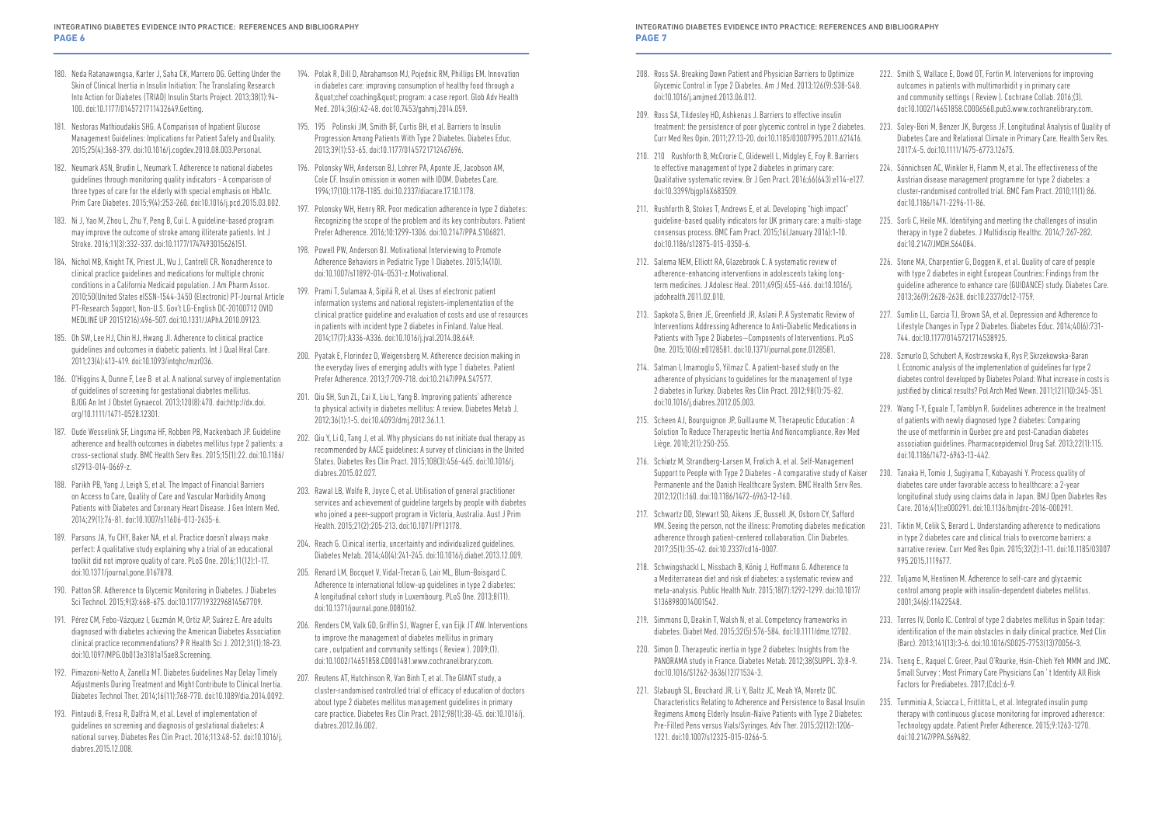- 222. Smith S, Wallace E, Dowd OT, Fortin M. Intervenions for improving outcomes in patients with multimorbidit y in primary care and community settings ( Review ). Cochrane Collab. 2016;(3). doi:10.1002/14651858.CD006560.pub3.www.cochranelibrary.com.
- 223. Soley-Bori M, Benzer JK, Burgess JF. Longitudinal Analysis of Quality of Diabetes Care and Relational Climate in Primary Care. Health Serv Res. 2017:4-5. doi:10.1111/1475-6773.12675.
- 224. Sönnichsen AC, Winkler H, Flamm M, et al. The effectiveness of the Austrian disease management programme for type 2 diabetes: a cluster-randomised controlled trial. BMC Fam Pract. 2010;11(1):86. doi:10.1186/1471-2296-11-86.
- 225. Sorli C, Heile MK. Identifying and meeting the challenges of insulin therapy in type 2 diabetes. J Multidiscip Healthc. 2014;7:267-282. doi:10.2147/JMDH.S64084.
- 226. Stone MA, Charpentier G, Doggen K, et al. Quality of care of people with type 2 diabetes in eight European Countries: Findings from the guideline adherence to enhance care (GUIDANCE) study. Diabetes Care. 2013;36(9):2628-2638. doi:10.2337/dc12-1759.
- 227. Sumlin LL, Garcia TJ, Brown SA, et al. Depression and Adherence to Lifestyle Changes in Type 2 Diabetes. Diabetes Educ. 2014;40(6):731- 744. doi:10.1177/0145721714538925.
- 228. Szmurlo D, Schubert A, Kostrzewska K, Rys P, Skrzekowska-Baran I. Economic analysis of the implementation of guidelines for type 2 diabetes control developed by Diabetes Poland: What increase in costs is justified by clinical results? Pol Arch Med Wewn. 2011;121(10):345-351.
- 229. Wang T-Y, Eguale T, Tamblyn R. Guidelines adherence in the treatment of patients with newly diagnosed type 2 diabetes: Comparing the use of metformin in Quebec pre and post-Canadian diabetes association guidelines. Pharmacoepidemiol Drug Saf. 2013;22(1):115. doi:10.1186/1472-6963-13-442.
- diabetes care under favorable access to healthcare: a 2-year longitudinal study using claims data in Japan. BMJ Open Diabetes Res Care. 2016;4(1):e000291. doi:10.1136/bmjdrc-2016-000291.

- 233. Torres IV, Donlo IC. Control of type 2 diabetes mellitus in Spain today: identification of the main obstacles in daily clinical practice. Med Clin (Barc). 2013;141(13):3-6. doi:10.1016/S0025-7753(13)70056-3.
- 234. Tseng E., Raquel C. Greer, Paul O'Rourke, Hsin-Chieh Yeh MMM and JMC. Small Survey : Most Primary Care Physicians Can ' t Identify All Risk Factors for Prediabetes. 2017;(Cdc):6-9.
- 180. Neda Ratanawongsa, Karter J, Saha CK, Marrero DG. Getting Under the Skin of Clinical Inertia in Insulin Initiation: The Translating Research Into Action for Diabetes (TRIAD) Insulin Starts Project. 2013;38(1):94- 100. doi:10.1177/0145721711432649.Getting.
- 181. Nestoras Mathioudakis SHG. A Comparison of Inpatient Glucose Management Guidelines: Implications for Patient Safety and Quality. 2015;25(4):368-379. doi:10.1016/j.cogdev.2010.08.003.Personal.
- 182. Neumark ASN, Brudin L, Neumark T. Adherence to national diabetes guidelines through monitoring quality indicators - A comparison of three types of care for the elderly with special emphasis on HbA1c. Prim Care Diabetes. 2015;9(4):253-260. doi:10.1016/j.pcd.2015.03.002.
- 183. Ni J, Yao M, Zhou L, Zhu Y, Peng B, Cui L. A guideline-based program may improve the outcome of stroke among illiterate patients. Int J Stroke. 2016;11(3):332-337. doi:10.1177/1747493015626151.
- 184. Nichol MB, Knight TK, Priest JL, Wu J, Cantrell CR. Nonadherence to clinical practice guidelines and medications for multiple chronic conditions in a California Medicaid population. J Am Pharm Assoc. 2010;50(United States eISSN-1544-3450 (Electronic) PT-Journal Article PT-Research Support, Non-U.S. Gov't LG-English DC-20100712 OVID MEDLINE UP 20151216):496-507. doi:10.1331/JAPhA.2010.09123.
- 185. Oh SW, Lee HJ, Chin HJ, Hwang JI. Adherence to clinical practice guidelines and outcomes in diabetic patients. Int J Qual Heal Care. 2011;23(4):413-419. doi:10.1093/intqhc/mzr036.
- 186. O'Higgins A, Dunne F, Lee B et al. A national survey of implementation of guidelines of screening for gestational diabetes mellitus. BJOG An Int J Obstet Gynaecol. 2013;120(8):470. doi:http://dx.doi. org/10.1111/1471-0528.12301.
- 187. Oude Wesselink SF, Lingsma HF, Robben PB, Mackenbach JP. Guideline adherence and health outcomes in diabetes mellitus type 2 patients: a cross-sectional study. BMC Health Serv Res. 2015;15(1):22. doi:10.1186/ s12913-014-0669-z.
- 188. Parikh PB, Yang J, Leigh S, et al. The Impact of Financial Barriers on Access to Care, Quality of Care and Vascular Morbidity Among Patients with Diabetes and Coronary Heart Disease. J Gen Intern Med. 2014;29(1):76-81. doi:10.1007/s11606-013-2635-6.
- 189. Parsons JA, Yu CHY, Baker NA, et al. Practice doesn't always make perfect: A qualitative study explaining why a trial of an educational toolkit did not improve quality of care. PLoS One. 2016;11(12):1-17. doi:10.1371/journal.pone.0167878.
- 190. Patton SR. Adherence to Glycemic Monitoring in Diabetes. J Diabetes Sci Technol. 2015;9(3):668-675. doi:10.1177/1932296814567709.
- 191. Pérez CM, Febo-Vázquez I, Guzmán M, Ortiz AP, Suárez E. Are adults diagnosed with diabetes achieving the American Diabetes Association clinical practice recommendations? P R Health Sci J. 2012;31(1):18-23. doi:10.1097/MPG.0b013e3181a15ae8.Screening.
- 192. Pimazoni-Netto A, Zanella MT. Diabetes Guidelines May Delay Timely Adjustments During Treatment and Might Contribute to Clinical Inertia. Diabetes Technol Ther. 2014;16(11):768-770. doi:10.1089/dia.2014.0092.
- 193. Pintaudi B, Fresa R, Dalfrà M, et al. Level of implementation of guidelines on screening and diagnosis of gestational diabetes: A national survey. Diabetes Res Clin Pract. 2016;113:48-52. doi:10.1016/j. diabres.2015.12.008.
- INTEGRATING DIABETES EVIDENCE INTO PRACTICE: REFERENCES AND BIBLIOGRAPHY **PAGE 7**
- 208. Ross SA. Breaking Down Patient and Physician Barriers to Optimize Glycemic Control in Type 2 Diabetes. Am J Med. 2013;126(9):S38-S48. doi:10.1016/j.amjmed.2013.06.012.
- 209. Ross SA, Tildesley HD, Ashkenas J. Barriers to effective insulin treatment: the persistence of poor glycemic control in type 2 diabetes. Curr Med Res Opin. 2011;27:13-20. doi:10.1185/03007995.2011.621416.
- 210. 210 Rushforth B, McCrorie C, Glidewell L, Midgley E, Foy R. Barriers to effective management of type 2 diabetes in primary care: Qualitative systematic review. Br J Gen Pract. 2016;66(643):e114-e127. doi:10.3399/bjgp16X683509.
- 211. Rushforth B, Stokes T, Andrews E, et al. Developing "high impact" guideline-based quality indicators for UK primary care: a multi-stage consensus process. BMC Fam Pract. 2015;16(January 2016):1-10. doi:10.1186/s12875-015-0350-6.
- 212. Salema NEM, Elliott RA, Glazebrook C. A systematic review of adherence-enhancing interventions in adolescents taking longterm medicines. J Adolesc Heal. 2011;49(5):455-466. doi:10.1016/j. jadohealth.2011.02.010.
- 213. Sapkota S, Brien JE, Greenfield JR, Aslani P. A Systematic Review of Interventions Addressing Adherence to Anti-Diabetic Medications in Patients with Type 2 Diabetes—Components of Interventions. PLoS One. 2015;10(6):e0128581. doi:10.1371/journal.pone.0128581.
- 214. Satman I, Imamoglu S, Yilmaz C. A patient-based study on the adherence of physicians to guidelines for the management of type 2 diabetes in Turkey. Diabetes Res Clin Pract. 2012;98(1):75-82. doi:10.1016/j.diabres.2012.05.003.
- 215. Scheen AJ, Bourguignon JP, Guillaume M. Therapeutic Education : A Solution To Reduce Therapeutic Inertia And Noncompliance. Rev Med Liège. 2010;2(1):250-255.
- 216. Schiøtz M, Strandberg-Larsen M, Frølich A, et al. Self-Management Support to People with Type 2 Diabetes - A comparative study of Kaiser 230. Tanaka H, Tomio J, Sugiyama T, Kobayashi Y. Process quality of Permanente and the Danish Healthcare System. BMC Health Serv Res. 2012;12(1):160. doi:10.1186/1472-6963-12-160.
- 217. Schwartz DD, Stewart SD, Aikens JE, Bussell JK, Osborn CY, Safford MM. Seeing the person, not the illness: Promoting diabetes medication adherence through patient-centered collaboration. Clin Diabetes. 2017;35(1):35-42. doi:10.2337/cd16-0007. 231. Tiktin M, Celik S, Berard L. Understanding adherence to medications in type 2 diabetes care and clinical trials to overcome barriers: a narrative review. Curr Med Res Opin. 2015;32(2):1-11. doi:10.1185/03007 995.2015.1119677.
- 218. Schwingshackl L, Missbach B, König J, Hoffmann G. Adherence to a Mediterranean diet and risk of diabetes: a systematic review and meta-analysis. Public Health Nutr. 2015;18(7):1292-1299. doi:10.1017/ S1368980014001542. 232. Toljamo M, Hentinen M. Adherence to self-care and glycaemic control among people with insulin-dependent diabetes mellitus. 2001;34(6):11422548.
- 219. Simmons D, Deakin T, Walsh N, et al. Competency frameworks in diabetes. Diabet Med. 2015;32(5):576-584. doi:10.1111/dme.12702.
- 220. Simon D. Therapeutic inertia in type 2 diabetes: Insights from the PANORAMA study in France. Diabetes Metab. 2012;38(SUPPL. 3):8-9. doi:10.1016/S1262-3636(12)71534-3.
- 221. Slabaugh SL, Bouchard JR, Li Y, Baltz JC, Meah YA, Moretz DC. Characteristics Relating to Adherence and Persistence to Basal Insulin Regimens Among Elderly Insulin-Naïve Patients with Type 2 Diabetes: Pre-Filled Pens versus Vials/Syringes. Adv Ther. 2015;32(12):1206- 1221. doi:10.1007/s12325-015-0266-5. 235. Tumminia A, Sciacca L, Frittitta L, et al. Integrated insulin pump therapy with continuous glucose monitoring for improved adherence: Technology update. Patient Prefer Adherence. 2015;9:1263-1270. doi:10.2147/PPA.S69482.
- 194. Polak R, Dill D, Abrahamson MJ, Pojednic RM, Phillips EM. Innovation in diabetes care: improving consumption of healthy food through a & quot; chef coaching & quot; program: a case report. Glob Adv Health Med. 2014;3(6):42-48. doi:10.7453/gahmj.2014.059.
- 195. 195 Polinski JM, Smith BF, Curtis BH, et al. Barriers to Insulin Progression Among Patients With Type 2 Diabetes. Diabetes Educ. 2013;39(1):53-65. doi:10.1177/0145721712467696.
- 196. Polonsky WH, Anderson BJ, Lohrer PA, Aponte JE, Jacobson AM, Cole CF. Insulin omission in women with IDDM. Diabetes Care. 1994;17(10):1178-1185. doi:10.2337/diacare.17.10.1178.
- 197. Polonsky WH, Henry RR. Poor medication adherence in type 2 diabetes: Recognizing the scope of the problem and its key contributors. Patient Prefer Adherence. 2016;10:1299-1306. doi:10.2147/PPA.S106821.
- 198. Powell PW, Anderson BJ. Motivational Interviewing to Promote Adherence Behaviors in Pediatric Type 1 Diabetes. 2015;14(10). doi:10.1007/s11892-014-0531-z.Motivational.
- 199. Prami T, Sulamaa A, Sipilä R, et al. Uses of electronic patient information systems and national registers-implementation of the clinical practice guideline and evaluation of costs and use of resources in patients with incident type 2 diabetes in Finland. Value Heal. 2014;17(7):A336-A336. doi:10.1016/j.jval.2014.08.649.
- 200. Pyatak E, Florindez D, Weigensberg M. Adherence decision making in the everyday lives of emerging adults with type 1 diabetes. Patient Prefer Adherence. 2013;7:709-718. doi:10.2147/PPA.S47577.
- 201. Qiu SH, Sun ZL, Cai X, Liu L, Yang B. Improving patients' adherence to physical activity in diabetes mellitus: A review. Diabetes Metab J. 2012;36(1):1-5. doi:10.4093/dmj.2012.36.1.1.
- 202. Qiu Y, Li Q, Tang J, et al. Why physicians do not initiate dual therapy as recommended by AACE guidelines: A survey of clinicians in the United States. Diabetes Res Clin Pract. 2015;108(3):456-465. doi:10.1016/j. diabres.2015.02.027.
- 203. Rawal LB, Wolfe R, Joyce C, et al. Utilisation of general practitioner services and achievement of guideline targets by people with diabetes who joined a peer-support program in Victoria, Australia. Aust J Prim Health. 2015;21(2):205-213. doi:10.1071/PY13178.
- 204. Reach G. Clinical inertia, uncertainty and individualized guidelines. Diabetes Metab. 2014;40(4):241-245. doi:10.1016/j.diabet.2013.12.009.
- 205. Renard LM, Bocquet V, Vidal-Trecan G, Lair ML, Blum-Boisgard C. Adherence to international follow-up guidelines in type 2 diabetes: A longitudinal cohort study in Luxembourg. PLoS One. 2013;8(11). doi:10.1371/journal.pone.0080162.
- 206. Renders CM, Valk GD, Griffin SJ, Wagner E, van Eijk JT AW. Interventions to improve the management of diabetes mellitus in primary care , outpatient and community settings ( Review ). 2009;(1). doi:10.1002/14651858.CD001481.www.cochranelibrary.com.
- 207. Reutens AT, Hutchinson R, Van Binh T, et al. The GIANT study, a cluster-randomised controlled trial of efficacy of education of doctors about type 2 diabetes mellitus management guidelines in primary care practice. Diabetes Res Clin Pract. 2012;98(1):38-45. doi:10.1016/j. diabres.2012.06.002.